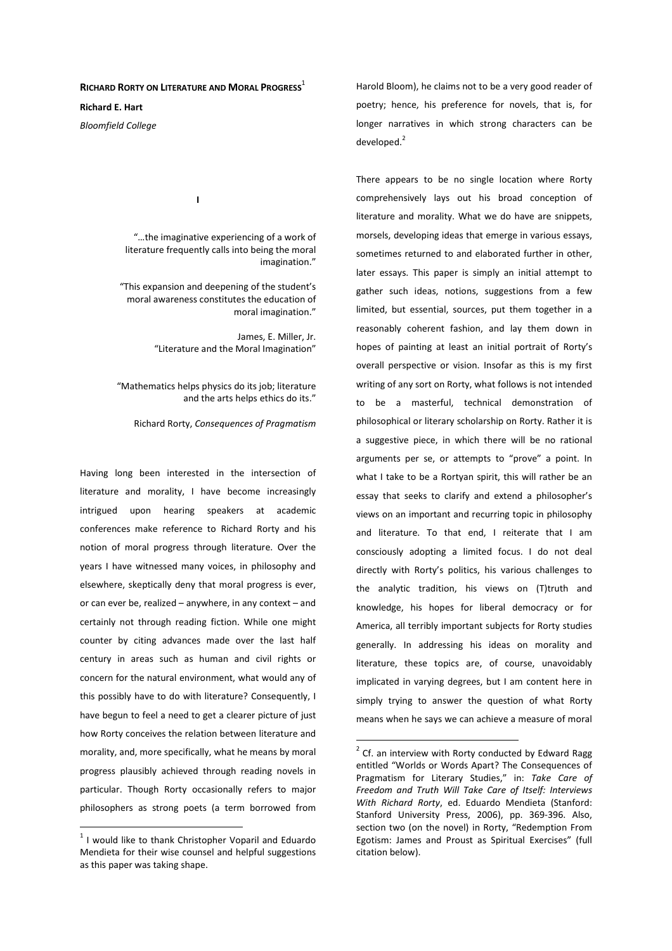## **RICHARD RORTY ON LITERATURE AND MORAL PROGRESS**<sup>1</sup>

**I** 

**Richard E. Hart** 

*Bloomfield College* 

 "…the imaginative experiencing of a work of literature frequently calls into being the moral imagination."

 "This expansion and deepening of the student's moral awareness constitutes the education of moral imagination."

> James, E. Miller, Jr. "Literature and the Moral Imagination"

 "Mathematics helps physics do its job; literature and the arts helps ethics do its."

Richard Rorty, *Consequences of Pragmatism*

Having long been interested in the intersection of literature and morality, I have become increasingly intrigued upon hearing speakers at academic conferences make reference to Richard Rorty and his notion of moral progress through literature. Over the years I have witnessed many voices, in philosophy and elsewhere, skeptically deny that moral progress is ever, or can ever be, realized – anywhere, in any context – and certainly not through reading fiction. While one might counter by citing advances made over the last half century in areas such as human and civil rights or concern for the natural environment, what would any of this possibly have to do with literature? Consequently, I have begun to feel a need to get a clearer picture of just how Rorty conceives the relation between literature and morality, and, more specifically, what he means by moral progress plausibly achieved through reading novels in particular. Though Rorty occasionally refers to major philosophers as strong poets (a term borrowed from

 $1$  I would like to thank Christopher Voparil and Eduardo Mendieta for their wise counsel and helpful suggestions as this paper was taking shape.

 $\overline{a}$ 

Harold Bloom), he claims not to be a very good reader of poetry; hence, his preference for novels, that is, for longer narratives in which strong characters can be developed.<sup>2</sup>

There appears to be no single location where Rorty comprehensively lays out his broad conception of literature and morality. What we do have are snippets, morsels, developing ideas that emerge in various essays, sometimes returned to and elaborated further in other, later essays. This paper is simply an initial attempt to gather such ideas, notions, suggestions from a few limited, but essential, sources, put them together in a reasonably coherent fashion, and lay them down in hopes of painting at least an initial portrait of Rorty's overall perspective or vision. Insofar as this is my first writing of any sort on Rorty, what follows is not intended to be a masterful, technical demonstration of philosophical or literary scholarship on Rorty. Rather it is a suggestive piece, in which there will be no rational arguments per se, or attempts to "prove" a point. In what I take to be a Rortyan spirit, this will rather be an essay that seeks to clarify and extend a philosopher's views on an important and recurring topic in philosophy and literature. To that end, I reiterate that I am consciously adopting a limited focus. I do not deal directly with Rorty's politics, his various challenges to the analytic tradition, his views on (T)truth and knowledge, his hopes for liberal democracy or for America, all terribly important subjects for Rorty studies generally. In addressing his ideas on morality and literature, these topics are, of course, unavoidably implicated in varying degrees, but I am content here in simply trying to answer the question of what Rorty means when he says we can achieve a measure of moral

 $2$  Cf. an interview with Rorty conducted by Edward Ragg entitled "Worlds or Words Apart? The Consequences of Pragmatism for Literary Studies," in: *Take Care of Freedom and Truth Will Take Care of Itself: Interviews With Richard Rorty*, ed. Eduardo Mendieta (Stanford: Stanford University Press, 2006), pp. 369-396. Also, section two (on the novel) in Rorty, "Redemption From Egotism: James and Proust as Spiritual Exercises" (full citation below).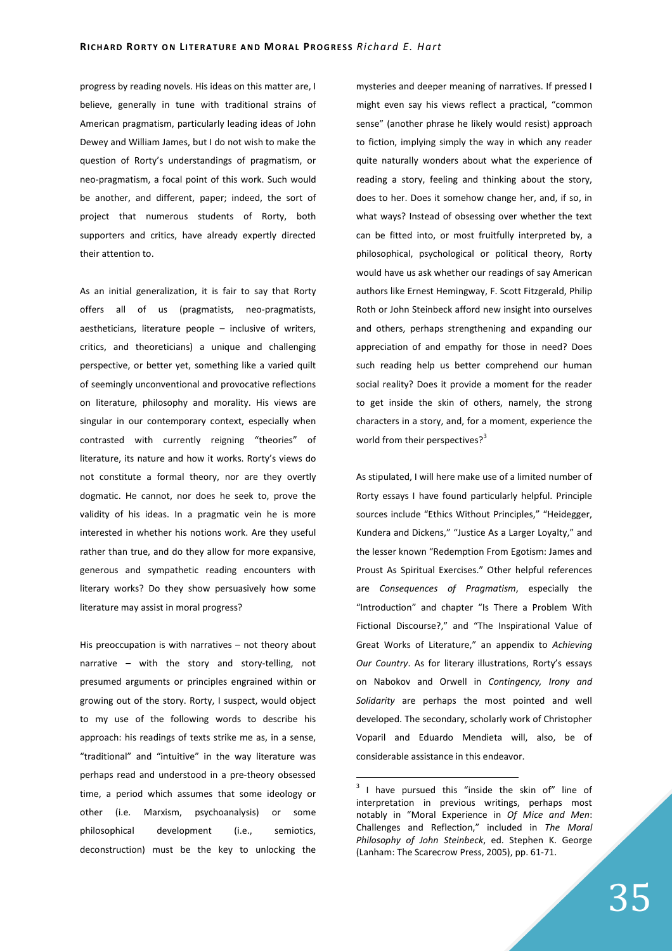progress by reading novels. His ideas on this matter are, I believe, generally in tune with traditional strains of American pragmatism, particularly leading ideas of John Dewey and William James, but I do not wish to make the question of Rorty's understandings of pragmatism, or neo-pragmatism, a focal point of this work. Such would be another, and different, paper; indeed, the sort of project that numerous students of Rorty, both supporters and critics, have already expertly directed their attention to.

As an initial generalization, it is fair to say that Rorty offers all of us (pragmatists, neo-pragmatists, aestheticians, literature people – inclusive of writers, critics, and theoreticians) a unique and challenging perspective, or better yet, something like a varied quilt of seemingly unconventional and provocative reflections on literature, philosophy and morality. His views are singular in our contemporary context, especially when contrasted with currently reigning "theories" of literature, its nature and how it works. Rorty's views do not constitute a formal theory, nor are they overtly dogmatic. He cannot, nor does he seek to, prove the validity of his ideas. In a pragmatic vein he is more interested in whether his notions work. Are they useful rather than true, and do they allow for more expansive, generous and sympathetic reading encounters with literary works? Do they show persuasively how some literature may assist in moral progress?

His preoccupation is with narratives – not theory about narrative – with the story and story-telling, not presumed arguments or principles engrained within or growing out of the story. Rorty, I suspect, would object to my use of the following words to describe his approach: his readings of texts strike me as, in a sense, "traditional" and "intuitive" in the way literature was perhaps read and understood in a pre-theory obsessed time, a period which assumes that some ideology or other (i.e. Marxism, psychoanalysis) or some philosophical development (i.e., semiotics, deconstruction) must be the key to unlocking the mysteries and deeper meaning of narratives. If pressed I might even say his views reflect a practical, "common sense" (another phrase he likely would resist) approach to fiction, implying simply the way in which any reader quite naturally wonders about what the experience of reading a story, feeling and thinking about the story, does to her. Does it somehow change her, and, if so, in what ways? Instead of obsessing over whether the text can be fitted into, or most fruitfully interpreted by, a philosophical, psychological or political theory, Rorty would have us ask whether our readings of say American authors like Ernest Hemingway, F. Scott Fitzgerald, Philip Roth or John Steinbeck afford new insight into ourselves and others, perhaps strengthening and expanding our appreciation of and empathy for those in need? Does such reading help us better comprehend our human social reality? Does it provide a moment for the reader to get inside the skin of others, namely, the strong characters in a story, and, for a moment, experience the world from their perspectives? $3^3$ 

As stipulated, I will here make use of a limited number of Rorty essays I have found particularly helpful. Principle sources include "Ethics Without Principles," "Heidegger, Kundera and Dickens," "Justice As a Larger Loyalty," and the lesser known "Redemption From Egotism: James and Proust As Spiritual Exercises." Other helpful references are *Consequences of Pragmatism*, especially the "Introduction" and chapter "Is There a Problem With Fictional Discourse?," and "The Inspirational Value of Great Works of Literature," an appendix to *Achieving Our Country*. As for literary illustrations, Rorty's essays on Nabokov and Orwell in *Contingency, Irony and Solidarity* are perhaps the most pointed and well developed. The secondary, scholarly work of Christopher Voparil and Eduardo Mendieta will, also, be of considerable assistance in this endeavor.

 $3$  I have pursued this "inside the skin of" line of interpretation in previous writings, perhaps most notably in "Moral Experience in *Of Mice and Men*: Challenges and Reflection," included in *The Moral Philosophy of John Steinbeck*, ed. Stephen K. George (Lanham: The Scarecrow Press, 2005), pp. 61-71.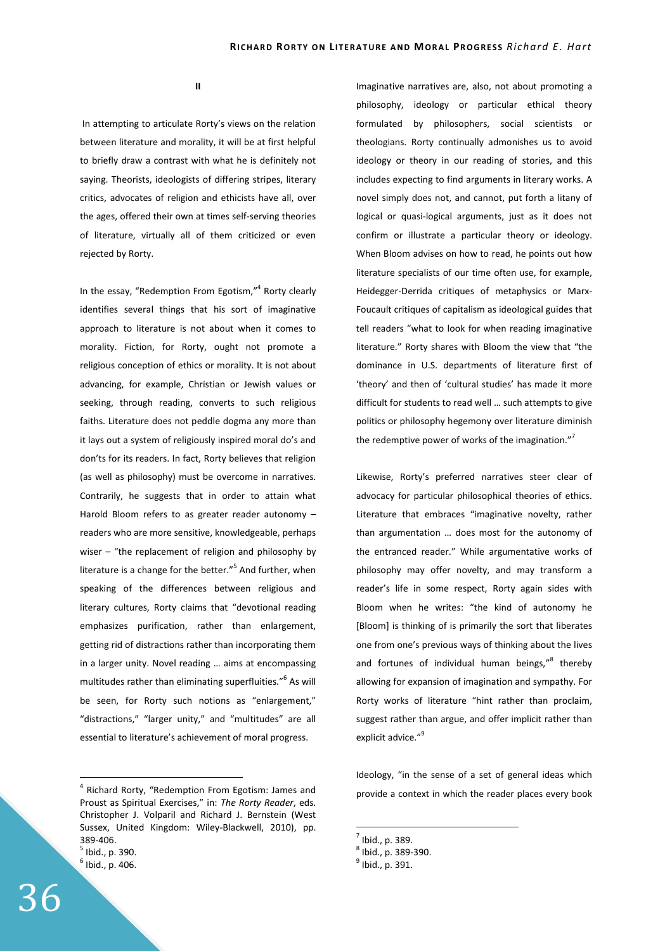**II** 

 In attempting to articulate Rorty's views on the relation between literature and morality, it will be at first helpful to briefly draw a contrast with what he is definitely not saying. Theorists, ideologists of differing stripes, literary critics, advocates of religion and ethicists have all, over the ages, offered their own at times self-serving theories of literature, virtually all of them criticized or even rejected by Rorty.

In the essay, "Redemption From Egotism,"<sup>4</sup> Rorty clearly identifies several things that his sort of imaginative approach to literature is not about when it comes to morality. Fiction, for Rorty, ought not promote a religious conception of ethics or morality. It is not about advancing, for example, Christian or Jewish values or seeking, through reading, converts to such religious faiths. Literature does not peddle dogma any more than it lays out a system of religiously inspired moral do's and don'ts for its readers. In fact, Rorty believes that religion (as well as philosophy) must be overcome in narratives. Contrarily, he suggests that in order to attain what Harold Bloom refers to as greater reader autonomy – readers who are more sensitive, knowledgeable, perhaps wiser – "the replacement of religion and philosophy by literature is a change for the better."<sup>5</sup> And further, when speaking of the differences between religious and literary cultures, Rorty claims that "devotional reading emphasizes purification, rather than enlargement, getting rid of distractions rather than incorporating them in a larger unity. Novel reading … aims at encompassing multitudes rather than eliminating superfluities."<sup>6</sup> As will be seen, for Rorty such notions as "enlargement," "distractions," "larger unity," and "multitudes" are all essential to literature's achievement of moral progress.

<sup>5</sup> Ibid., p. 390.

 $\overline{a}$ 

Imaginative narratives are, also, not about promoting a philosophy, ideology or particular ethical theory formulated by philosophers, social scientists or theologians. Rorty continually admonishes us to avoid ideology or theory in our reading of stories, and this includes expecting to find arguments in literary works. A novel simply does not, and cannot, put forth a litany of logical or quasi-logical arguments, just as it does not confirm or illustrate a particular theory or ideology. When Bloom advises on how to read, he points out how literature specialists of our time often use, for example, Heidegger-Derrida critiques of metaphysics or Marx-Foucault critiques of capitalism as ideological guides that tell readers "what to look for when reading imaginative literature." Rorty shares with Bloom the view that "the dominance in U.S. departments of literature first of 'theory' and then of 'cultural studies' has made it more difficult for students to read well … such attempts to give politics or philosophy hegemony over literature diminish the redemptive power of works of the imagination."<sup>7</sup>

Likewise, Rorty's preferred narratives steer clear of advocacy for particular philosophical theories of ethics. Literature that embraces "imaginative novelty, rather than argumentation … does most for the autonomy of the entranced reader." While argumentative works of philosophy may offer novelty, and may transform a reader's life in some respect, Rorty again sides with Bloom when he writes: "the kind of autonomy he [Bloom] is thinking of is primarily the sort that liberates one from one's previous ways of thinking about the lives and fortunes of individual human beings,"<sup>8</sup> thereby allowing for expansion of imagination and sympathy. For Rorty works of literature "hint rather than proclaim, suggest rather than argue, and offer implicit rather than explicit advice."<sup>9</sup>

Ideology, "in the sense of a set of general ideas which provide a context in which the reader places every book

<sup>&</sup>lt;sup>4</sup> Richard Rorty, "Redemption From Egotism: James and Proust as Spiritual Exercises," in: *The Rorty Reader*, eds. Christopher J. Volparil and Richard J. Bernstein (West Sussex, United Kingdom: Wiley-Blackwell, 2010), pp. 389-406.

 $<sup>6</sup>$  Ibid., p. 406.</sup>

 $<sup>7</sup>$  Ibid., p. 389.</sup>

 $^8$  Ibid., p. 389-390.

 $<sup>9</sup>$  Ibid., p. 391.</sup>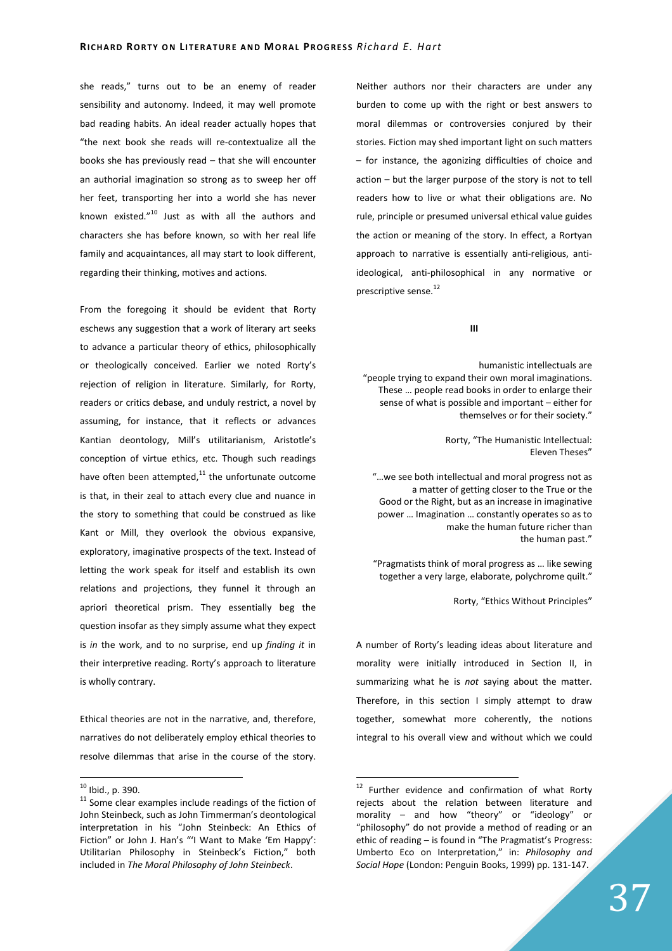she reads," turns out to be an enemy of reader sensibility and autonomy. Indeed, it may well promote bad reading habits. An ideal reader actually hopes that "the next book she reads will re-contextualize all the books she has previously read – that she will encounter an authorial imagination so strong as to sweep her off her feet, transporting her into a world she has never known existed."<sup>10</sup> Just as with all the authors and characters she has before known, so with her real life family and acquaintances, all may start to look different, regarding their thinking, motives and actions.

From the foregoing it should be evident that Rorty eschews any suggestion that a work of literary art seeks to advance a particular theory of ethics, philosophically or theologically conceived. Earlier we noted Rorty's rejection of religion in literature. Similarly, for Rorty, readers or critics debase, and unduly restrict, a novel by assuming, for instance, that it reflects or advances Kantian deontology, Mill's utilitarianism, Aristotle's conception of virtue ethics, etc. Though such readings have often been attempted, $11$  the unfortunate outcome is that, in their zeal to attach every clue and nuance in the story to something that could be construed as like Kant or Mill, they overlook the obvious expansive, exploratory, imaginative prospects of the text. Instead of letting the work speak for itself and establish its own relations and projections, they funnel it through an apriori theoretical prism. They essentially beg the question insofar as they simply assume what they expect is *in* the work, and to no surprise, end up *finding it* in their interpretive reading. Rorty's approach to literature is wholly contrary.

Ethical theories are not in the narrative, and, therefore, narratives do not deliberately employ ethical theories to resolve dilemmas that arise in the course of the story.

 $\overline{a}$ 

Neither authors nor their characters are under any burden to come up with the right or best answers to moral dilemmas or controversies conjured by their stories. Fiction may shed important light on such matters – for instance, the agonizing difficulties of choice and action – but the larger purpose of the story is not to tell readers how to live or what their obligations are. No rule, principle or presumed universal ethical value guides the action or meaning of the story. In effect, a Rortyan approach to narrative is essentially anti-religious, antiideological, anti-philosophical in any normative or prescriptive sense.<sup>12</sup>

## **III**

humanistic intellectuals are "people trying to expand their own moral imaginations. These … people read books in order to enlarge their sense of what is possible and important – either for themselves or for their society."

> Rorty, "The Humanistic Intellectual: Eleven Theses"

 "…we see both intellectual and moral progress not as a matter of getting closer to the True or the Good or the Right, but as an increase in imaginative power … Imagination … constantly operates so as to make the human future richer than the human past."

 "Pragmatists think of moral progress as … like sewing together a very large, elaborate, polychrome quilt."

Rorty, "Ethics Without Principles"

A number of Rorty's leading ideas about literature and morality were initially introduced in Section II, in summarizing what he is *not* saying about the matter. Therefore, in this section I simply attempt to draw together, somewhat more coherently, the notions integral to his overall view and without which we could

 $10$  Ibid., p. 390.

<sup>&</sup>lt;sup>11</sup> Some clear examples include readings of the fiction of John Steinbeck, such as John Timmerman's deontological interpretation in his "John Steinbeck: An Ethics of Fiction" or John J. Han's "'I Want to Make 'Em Happy': Utilitarian Philosophy in Steinbeck's Fiction," both included in *The Moral Philosophy of John Steinbeck*.

 $12$  Further evidence and confirmation of what Rorty rejects about the relation between literature and morality – and how "theory" or "ideology" or "philosophy" do not provide a method of reading or an ethic of reading – is found in "The Pragmatist's Progress: Umberto Eco on Interpretation," in: *Philosophy and Social Hope* (London: Penguin Books, 1999) pp. 131-147.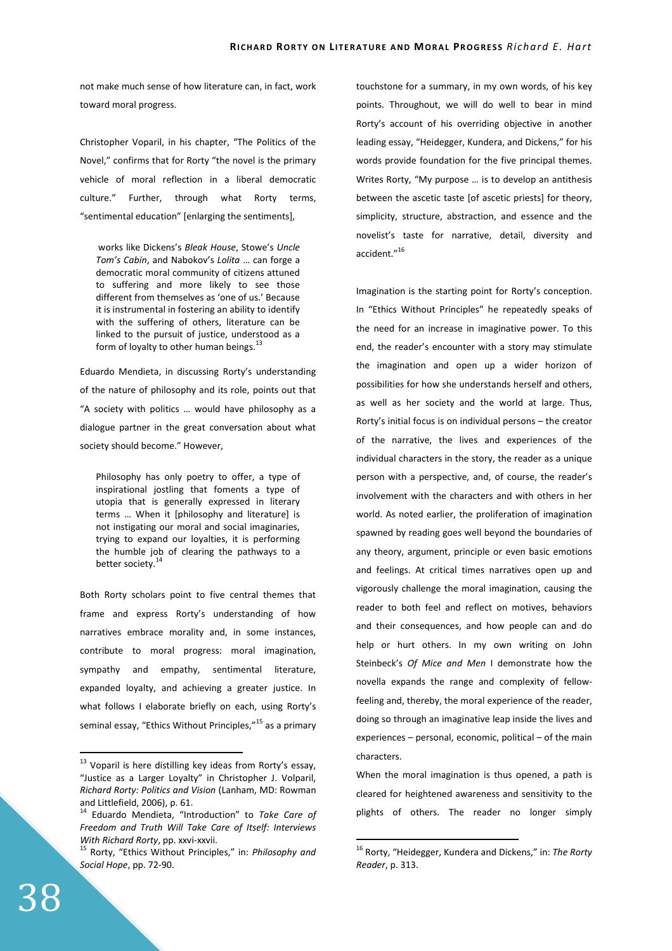not make much sense of how literature can, in fact, work toward moral progress.

Christopher Voparil, in his chapter, "The Politics of the Novel," confirms that for Rorty "the novel is the primary vehicle of moral reflection in a liberal democratic culture." Further, through what Rorty terms, "sentimental education" [enlarging the sentiments],

 works like Dickens's *Bleak House*, Stowe's *Uncle Tom's Cabin*, and Nabokov's *Lolita* … can forge a democratic moral community of citizens attuned to suffering and more likely to see those different from themselves as 'one of us.' Because it is instrumental in fostering an ability to identify with the suffering of others, literature can be linked to the pursuit of justice, understood as a form of loyalty to other human beings.<sup>13</sup>

Eduardo Mendieta, in discussing Rorty's understanding of the nature of philosophy and its role, points out that "A society with politics … would have philosophy as a dialogue partner in the great conversation about what society should become." However,

Philosophy has only poetry to offer, a type of inspirational jostling that foments a type of utopia that is generally expressed in literary terms … When it [philosophy and literature] is not instigating our moral and social imaginaries, trying to expand our loyalties, it is performing the humble job of clearing the pathways to a better society.<sup>14</sup>

Both Rorty scholars point to five central themes that frame and express Rorty's understanding of how narratives embrace morality and, in some instances, contribute to moral progress: moral imagination, sympathy and empathy, sentimental literature, expanded loyalty, and achieving a greater justice. In what follows I elaborate briefly on each, using Rorty's seminal essay, "Ethics Without Principles,"<sup>15</sup> as a primary touchstone for a summary, in my own words, of his key points. Throughout, we will do well to bear in mind Rorty's account of his overriding objective in another leading essay, "Heidegger, Kundera, and Dickens," for his words provide foundation for the five principal themes. Writes Rorty, "My purpose … is to develop an antithesis between the ascetic taste [of ascetic priests] for theory, simplicity, structure, abstraction, and essence and the novelist's taste for narrative, detail, diversity and accident."<sup>16</sup>

Imagination is the starting point for Rorty's conception. In "Ethics Without Principles" he repeatedly speaks of the need for an increase in imaginative power. To this end, the reader's encounter with a story may stimulate the imagination and open up a wider horizon of possibilities for how she understands herself and others, as well as her society and the world at large. Thus, Rorty's initial focus is on individual persons – the creator of the narrative, the lives and experiences of the individual characters in the story, the reader as a unique person with a perspective, and, of course, the reader's involvement with the characters and with others in her world. As noted earlier, the proliferation of imagination spawned by reading goes well beyond the boundaries of any theory, argument, principle or even basic emotions and feelings. At critical times narratives open up and vigorously challenge the moral imagination, causing the reader to both feel and reflect on motives, behaviors and their consequences, and how people can and do help or hurt others. In my own writing on John Steinbeck's *Of Mice and Men* I demonstrate how the novella expands the range and complexity of fellowfeeling and, thereby, the moral experience of the reader, doing so through an imaginative leap inside the lives and experiences – personal, economic, political – of the main characters.

When the moral imagination is thus opened, a path is cleared for heightened awareness and sensitivity to the plights of others. The reader no longer simply

 $\overline{a}$ 

 $13$  Voparil is here distilling key ideas from Rorty's essay, "Justice as a Larger Loyalty" in Christopher J. Volparil, *Richard Rorty: Politics and Vision* (Lanham, MD: Rowman and Littlefield, 2006), p. 61.

<sup>14</sup> Eduardo Mendieta, "Introduction" to *Take Care of Freedom and Truth Will Take Care of Itself: Interviews With Richard Rorty*, pp. xxvi-xxvii.

<sup>15</sup> Rorty, "Ethics Without Principles," in: *Philosophy and Social Hope*, pp. 72-90.

<sup>16</sup> Rorty, "Heidegger, Kundera and Dickens," in: *The Rorty Reader*, p. 313.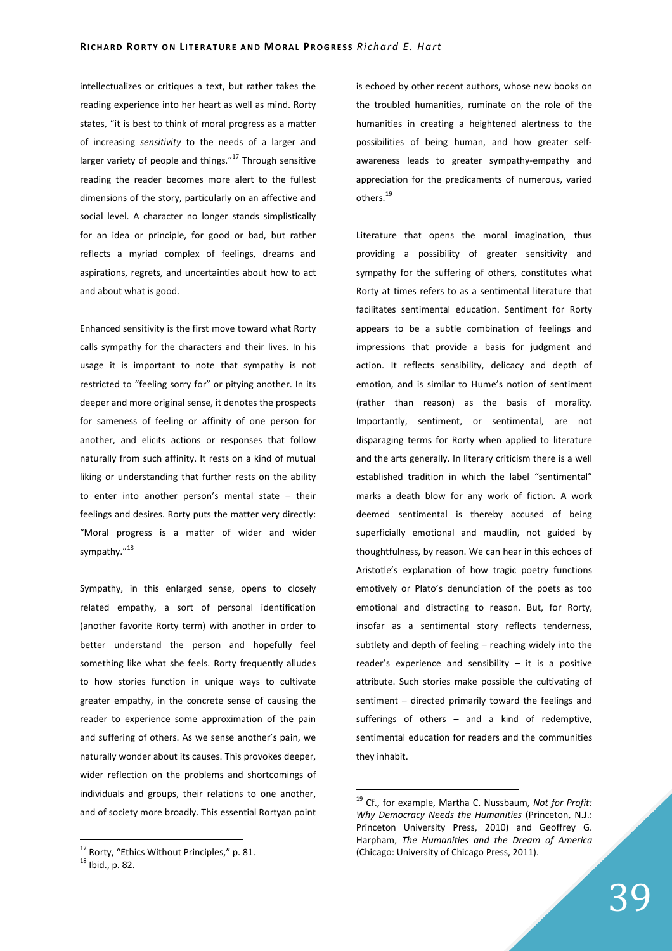intellectualizes or critiques a text, but rather takes the reading experience into her heart as well as mind. Rorty states, "it is best to think of moral progress as a matter of increasing *sensitivity* to the needs of a larger and larger variety of people and things. $"^{17}$  Through sensitive reading the reader becomes more alert to the fullest dimensions of the story, particularly on an affective and social level. A character no longer stands simplistically for an idea or principle, for good or bad, but rather reflects a myriad complex of feelings, dreams and aspirations, regrets, and uncertainties about how to act and about what is good.

Enhanced sensitivity is the first move toward what Rorty calls sympathy for the characters and their lives. In his usage it is important to note that sympathy is not restricted to "feeling sorry for" or pitying another. In its deeper and more original sense, it denotes the prospects for sameness of feeling or affinity of one person for another, and elicits actions or responses that follow naturally from such affinity. It rests on a kind of mutual liking or understanding that further rests on the ability to enter into another person's mental state – their feelings and desires. Rorty puts the matter very directly: "Moral progress is a matter of wider and wider sympathy."<sup>18</sup>

Sympathy, in this enlarged sense, opens to closely related empathy, a sort of personal identification (another favorite Rorty term) with another in order to better understand the person and hopefully feel something like what she feels. Rorty frequently alludes to how stories function in unique ways to cultivate greater empathy, in the concrete sense of causing the reader to experience some approximation of the pain and suffering of others. As we sense another's pain, we naturally wonder about its causes. This provokes deeper, wider reflection on the problems and shortcomings of individuals and groups, their relations to one another, and of society more broadly. This essential Rortyan point

 $\overline{a}$ 

is echoed by other recent authors, whose new books on the troubled humanities, ruminate on the role of the humanities in creating a heightened alertness to the possibilities of being human, and how greater selfawareness leads to greater sympathy-empathy and appreciation for the predicaments of numerous, varied others.<sup>19</sup>

Literature that opens the moral imagination, thus providing a possibility of greater sensitivity and sympathy for the suffering of others, constitutes what Rorty at times refers to as a sentimental literature that facilitates sentimental education. Sentiment for Rorty appears to be a subtle combination of feelings and impressions that provide a basis for judgment and action. It reflects sensibility, delicacy and depth of emotion, and is similar to Hume's notion of sentiment (rather than reason) as the basis of morality. Importantly, sentiment, or sentimental, are not disparaging terms for Rorty when applied to literature and the arts generally. In literary criticism there is a well established tradition in which the label "sentimental" marks a death blow for any work of fiction. A work deemed sentimental is thereby accused of being superficially emotional and maudlin, not guided by thoughtfulness, by reason. We can hear in this echoes of Aristotle's explanation of how tragic poetry functions emotively or Plato's denunciation of the poets as too emotional and distracting to reason. But, for Rorty, insofar as a sentimental story reflects tenderness, subtlety and depth of feeling – reaching widely into the reader's experience and sensibility  $-$  it is a positive attribute. Such stories make possible the cultivating of sentiment – directed primarily toward the feelings and sufferings of others – and a kind of redemptive, sentimental education for readers and the communities they inhabit.

 $17$  Rorty, "Ethics Without Principles," p. 81.

 $18$  Ibid., p. 82.

<sup>19</sup> Cf., for example, Martha C. Nussbaum, *Not for Profit: Why Democracy Needs the Humanities* (Princeton, N.J.: Princeton University Press, 2010) and Geoffrey G. Harpham, *The Humanities and the Dream of America* (Chicago: University of Chicago Press, 2011).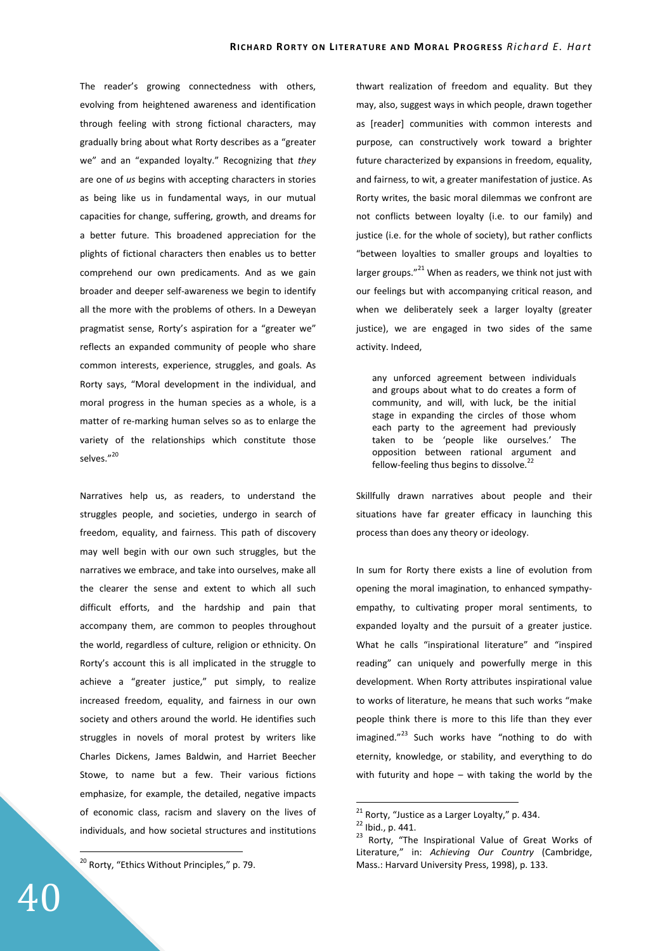The reader's growing connectedness with others, evolving from heightened awareness and identification through feeling with strong fictional characters, may gradually bring about what Rorty describes as a "greater we" and an "expanded loyalty." Recognizing that *they* are one of *us* begins with accepting characters in stories as being like us in fundamental ways, in our mutual capacities for change, suffering, growth, and dreams for a better future. This broadened appreciation for the plights of fictional characters then enables us to better comprehend our own predicaments. And as we gain broader and deeper self-awareness we begin to identify all the more with the problems of others. In a Deweyan pragmatist sense, Rorty's aspiration for a "greater we" reflects an expanded community of people who share common interests, experience, struggles, and goals. As Rorty says, "Moral development in the individual, and moral progress in the human species as a whole, is a matter of re-marking human selves so as to enlarge the variety of the relationships which constitute those selves."20

Narratives help us, as readers, to understand the struggles people, and societies, undergo in search of freedom, equality, and fairness. This path of discovery may well begin with our own such struggles, but the narratives we embrace, and take into ourselves, make all the clearer the sense and extent to which all such difficult efforts, and the hardship and pain that accompany them, are common to peoples throughout the world, regardless of culture, religion or ethnicity. On Rorty's account this is all implicated in the struggle to achieve a "greater justice," put simply, to realize increased freedom, equality, and fairness in our own society and others around the world. He identifies such struggles in novels of moral protest by writers like Charles Dickens, James Baldwin, and Harriet Beecher Stowe, to name but a few. Their various fictions emphasize, for example, the detailed, negative impacts of economic class, racism and slavery on the lives of individuals, and how societal structures and institutions

<sup>20</sup> Rorty, "Ethics Without Principles," p. 79.

thwart realization of freedom and equality. But they may, also, suggest ways in which people, drawn together as [reader] communities with common interests and purpose, can constructively work toward a brighter future characterized by expansions in freedom, equality, and fairness, to wit, a greater manifestation of justice. As Rorty writes, the basic moral dilemmas we confront are not conflicts between loyalty (i.e. to our family) and justice (i.e. for the whole of society), but rather conflicts "between loyalties to smaller groups and loyalties to larger groups." $^{21}$  When as readers, we think not just with our feelings but with accompanying critical reason, and when we deliberately seek a larger loyalty (greater justice), we are engaged in two sides of the same activity. Indeed,

any unforced agreement between individuals and groups about what to do creates a form of community, and will, with luck, be the initial stage in expanding the circles of those whom each party to the agreement had previously taken to be 'people like ourselves.' The opposition between rational argument and fellow-feeling thus begins to dissolve.<sup>22</sup>

Skillfully drawn narratives about people and their situations have far greater efficacy in launching this process than does any theory or ideology.

In sum for Rorty there exists a line of evolution from opening the moral imagination, to enhanced sympathyempathy, to cultivating proper moral sentiments, to expanded loyalty and the pursuit of a greater justice. What he calls "inspirational literature" and "inspired reading" can uniquely and powerfully merge in this development. When Rorty attributes inspirational value to works of literature, he means that such works "make people think there is more to this life than they ever imagined. $"^{23}$  Such works have "nothing to do with eternity, knowledge, or stability, and everything to do with futurity and hope – with taking the world by the

 $\overline{a}$ 

 $^{21}$  Rorty, "Justice as a Larger Loyalty," p. 434.

<sup>22</sup> Ibid., p. 441.

<sup>&</sup>lt;sup>23</sup> Rorty, "The Inspirational Value of Great Works of Literature," in: *Achieving Our Country* (Cambridge, Mass.: Harvard University Press, 1998), p. 133.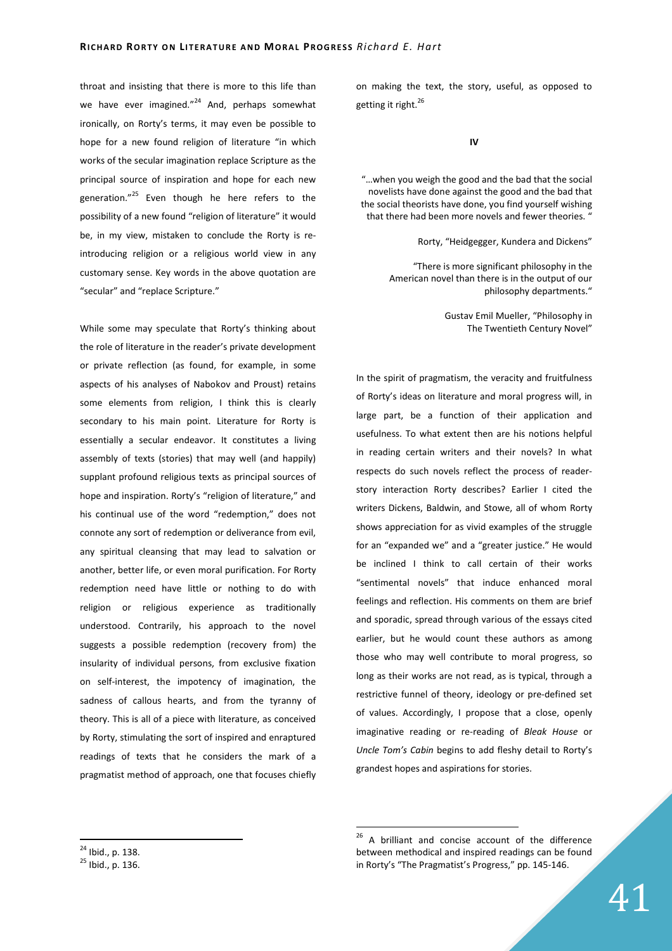throat and insisting that there is more to this life than we have ever imagined."<sup>24</sup> And, perhaps somewhat ironically, on Rorty's terms, it may even be possible to hope for a new found religion of literature "in which works of the secular imagination replace Scripture as the principal source of inspiration and hope for each new generation."<sup>25</sup> Even though he here refers to the possibility of a new found "religion of literature" it would be, in my view, mistaken to conclude the Rorty is reintroducing religion or a religious world view in any customary sense. Key words in the above quotation are "secular" and "replace Scripture."

While some may speculate that Rorty's thinking about the role of literature in the reader's private development or private reflection (as found, for example, in some aspects of his analyses of Nabokov and Proust) retains some elements from religion, I think this is clearly secondary to his main point. Literature for Rorty is essentially a secular endeavor. It constitutes a living assembly of texts (stories) that may well (and happily) supplant profound religious texts as principal sources of hope and inspiration. Rorty's "religion of literature," and his continual use of the word "redemption," does not connote any sort of redemption or deliverance from evil, any spiritual cleansing that may lead to salvation or another, better life, or even moral purification. For Rorty redemption need have little or nothing to do with religion or religious experience as traditionally understood. Contrarily, his approach to the novel suggests a possible redemption (recovery from) the insularity of individual persons, from exclusive fixation on self-interest, the impotency of imagination, the sadness of callous hearts, and from the tyranny of theory. This is all of a piece with literature, as conceived by Rorty, stimulating the sort of inspired and enraptured readings of texts that he considers the mark of a pragmatist method of approach, one that focuses chiefly on making the text, the story, useful, as opposed to getting it right.<sup>26</sup>

**IV** 

"…when you weigh the good and the bad that the social novelists have done against the good and the bad that the social theorists have done, you find yourself wishing that there had been more novels and fewer theories. '

Rorty, "Heidgegger, Kundera and Dickens"

"There is more significant philosophy in the American novel than there is in the output of our philosophy departments."

> Gustav Emil Mueller, "Philosophy in The Twentieth Century Novel"

In the spirit of pragmatism, the veracity and fruitfulness of Rorty's ideas on literature and moral progress will, in large part, be a function of their application and usefulness. To what extent then are his notions helpful in reading certain writers and their novels? In what respects do such novels reflect the process of readerstory interaction Rorty describes? Earlier I cited the writers Dickens, Baldwin, and Stowe, all of whom Rorty shows appreciation for as vivid examples of the struggle for an "expanded we" and a "greater justice." He would be inclined I think to call certain of their works "sentimental novels" that induce enhanced moral feelings and reflection. His comments on them are brief and sporadic, spread through various of the essays cited earlier, but he would count these authors as among those who may well contribute to moral progress, so long as their works are not read, as is typical, through a restrictive funnel of theory, ideology or pre-defined set of values. Accordingly, I propose that a close, openly imaginative reading or re-reading of *Bleak House* or *Uncle Tom's Cabin* begins to add fleshy detail to Rorty's grandest hopes and aspirations for stories.

 $\overline{a}$  $^{24}$  Ibid., p. 138.

<sup>25</sup> Ibid., p. 136.

 $26$  A brilliant and concise account of the difference between methodical and inspired readings can be found in Rorty's "The Pragmatist's Progress," pp. 145-146.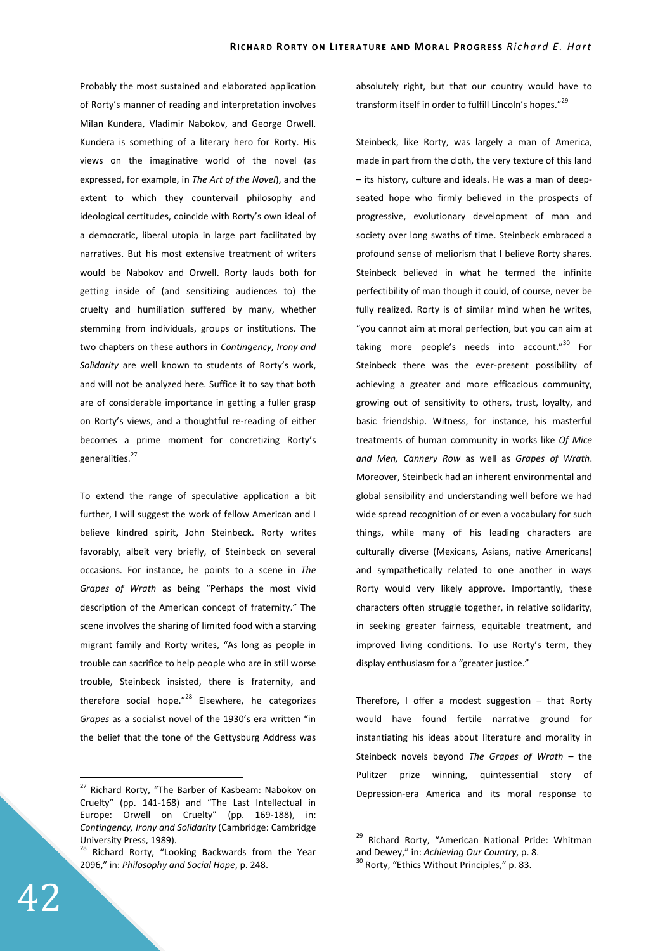Probably the most sustained and elaborated application of Rorty's manner of reading and interpretation involves Milan Kundera, Vladimir Nabokov, and George Orwell. Kundera is something of a literary hero for Rorty. His views on the imaginative world of the novel (as expressed, for example, in *The Art of the Novel*), and the extent to which they countervail philosophy and ideological certitudes, coincide with Rorty's own ideal of a democratic, liberal utopia in large part facilitated by narratives. But his most extensive treatment of writers would be Nabokov and Orwell. Rorty lauds both for getting inside of (and sensitizing audiences to) the cruelty and humiliation suffered by many, whether stemming from individuals, groups or institutions. The two chapters on these authors in *Contingency, Irony and Solidarity* are well known to students of Rorty's work, and will not be analyzed here. Suffice it to say that both are of considerable importance in getting a fuller grasp on Rorty's views, and a thoughtful re-reading of either becomes a prime moment for concretizing Rorty's generalities.<sup>27</sup>

To extend the range of speculative application a bit further, I will suggest the work of fellow American and I believe kindred spirit, John Steinbeck. Rorty writes favorably, albeit very briefly, of Steinbeck on several occasions. For instance, he points to a scene in *The Grapes of Wrath* as being "Perhaps the most vivid description of the American concept of fraternity." The scene involves the sharing of limited food with a starving migrant family and Rorty writes, "As long as people in trouble can sacrifice to help people who are in still worse trouble, Steinbeck insisted, there is fraternity, and therefore social hope." $^{28}$  Elsewhere, he categorizes *Grapes* as a socialist novel of the 1930's era written "in the belief that the tone of the Gettysburg Address was absolutely right, but that our country would have to transform itself in order to fulfill Lincoln's hopes."<sup>29</sup>

Steinbeck, like Rorty, was largely a man of America, made in part from the cloth, the very texture of this land – its history, culture and ideals. He was a man of deepseated hope who firmly believed in the prospects of progressive, evolutionary development of man and society over long swaths of time. Steinbeck embraced a profound sense of meliorism that I believe Rorty shares. Steinbeck believed in what he termed the infinite perfectibility of man though it could, of course, never be fully realized. Rorty is of similar mind when he writes, "you cannot aim at moral perfection, but you can aim at taking more people's needs into account."<sup>30</sup> For Steinbeck there was the ever-present possibility of achieving a greater and more efficacious community, growing out of sensitivity to others, trust, loyalty, and basic friendship. Witness, for instance, his masterful treatments of human community in works like *Of Mice and Men, Cannery Row* as well as *Grapes of Wrath*. Moreover, Steinbeck had an inherent environmental and global sensibility and understanding well before we had wide spread recognition of or even a vocabulary for such things, while many of his leading characters are culturally diverse (Mexicans, Asians, native Americans) and sympathetically related to one another in ways Rorty would very likely approve. Importantly, these characters often struggle together, in relative solidarity, in seeking greater fairness, equitable treatment, and improved living conditions. To use Rorty's term, they display enthusiasm for a "greater justice."

Therefore, I offer a modest suggestion – that Rorty would have found fertile narrative ground for instantiating his ideas about literature and morality in Steinbeck novels beyond *The Grapes of Wrath* – the Pulitzer prize winning, quintessential story of Depression-era America and its moral response to

 $\overline{a}$ 

<sup>&</sup>lt;sup>27</sup> Richard Rorty, "The Barber of Kasbeam: Nabokov on Cruelty" (pp. 141-168) and "The Last Intellectual in Europe: Orwell on Cruelty" (pp. 169-188), in: *Contingency, Irony and Solidarity* (Cambridge: Cambridge University Press, 1989).

<sup>&</sup>lt;sup>28</sup> Richard Rorty, "Looking Backwards from the Year 2096," in: *Philosophy and Social Hope*, p. 248.

<sup>&</sup>lt;sup>29</sup> Richard Rorty, "American National Pride: Whitman and Dewey," in: *Achieving Our Country*, p. 8.

<sup>&</sup>lt;sup>30</sup> Rorty, "Ethics Without Principles," p. 83.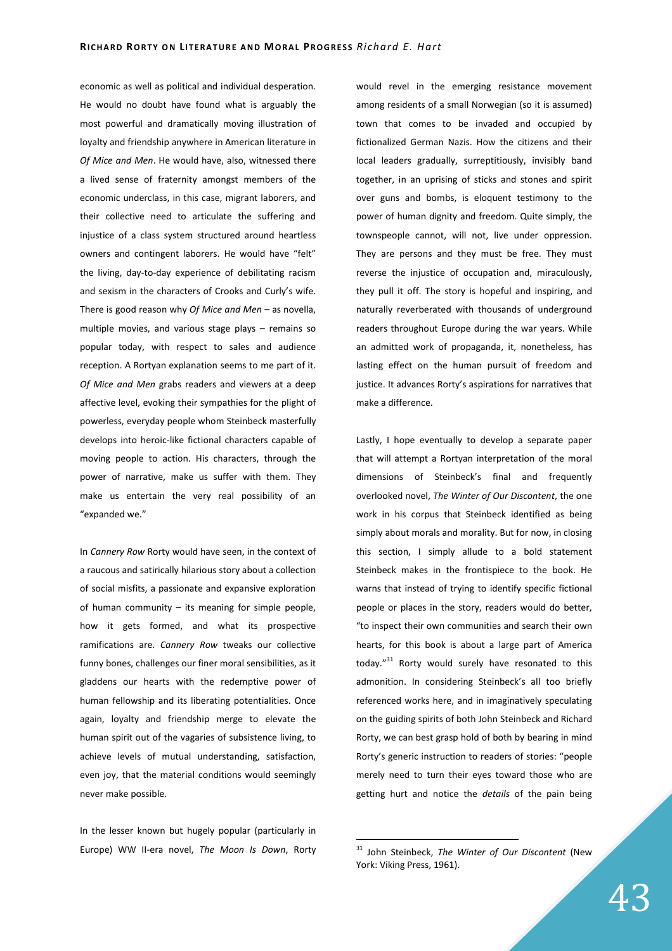economic as well as political and individual desperation. He would no doubt have found what is arguably the most powerful and dramatically moving illustration of loyalty and friendship anywhere in American literature in *Of Mice and Men*. He would have, also, witnessed there a lived sense of fraternity amongst members of the economic underclass, in this case, migrant laborers, and their collective need to articulate the suffering and injustice of a class system structured around heartless owners and contingent laborers. He would have "felt" the living, day-to-day experience of debilitating racism and sexism in the characters of Crooks and Curly's wife. There is good reason why *Of Mice and Men* – as novella, multiple movies, and various stage plays – remains so popular today, with respect to sales and audience reception. A Rortyan explanation seems to me part of it. *Of Mice and Men* grabs readers and viewers at a deep affective level, evoking their sympathies for the plight of powerless, everyday people whom Steinbeck masterfully develops into heroic-like fictional characters capable of moving people to action. His characters, through the power of narrative, make us suffer with them. They make us entertain the very real possibility of an "expanded we."

In *Cannery Row* Rorty would have seen, in the context of a raucous and satirically hilarious story about a collection of social misfits, a passionate and expansive exploration of human community – its meaning for simple people, how it gets formed, and what its prospective ramifications are. *Cannery Row* tweaks our collective funny bones, challenges our finer moral sensibilities, as it gladdens our hearts with the redemptive power of human fellowship and its liberating potentialities. Once again, loyalty and friendship merge to elevate the human spirit out of the vagaries of subsistence living, to achieve levels of mutual understanding, satisfaction, even joy, that the material conditions would seemingly never make possible.

In the lesser known but hugely popular (particularly in Europe) WW II-era novel, *The Moon Is Down*, Rorty

would revel in the emerging resistance movement among residents of a small Norwegian (so it is assumed) town that comes to be invaded and occupied by fictionalized German Nazis. How the citizens and their local leaders gradually, surreptitiously, invisibly band together, in an uprising of sticks and stones and spirit over guns and bombs, is eloquent testimony to the power of human dignity and freedom. Quite simply, the townspeople cannot, will not, live under oppression. They are persons and they must be free. They must reverse the injustice of occupation and, miraculously, they pull it off. The story is hopeful and inspiring, and naturally reverberated with thousands of underground readers throughout Europe during the war years. While an admitted work of propaganda, it, nonetheless, has lasting effect on the human pursuit of freedom and justice. It advances Rorty's aspirations for narratives that make a difference.

Lastly, I hope eventually to develop a separate paper that will attempt a Rortyan interpretation of the moral dimensions of Steinbeck's final and frequently overlooked novel, *The Winter of Our Discontent*, the one work in his corpus that Steinbeck identified as being simply about morals and morality. But for now, in closing this section, I simply allude to a bold statement Steinbeck makes in the frontispiece to the book. He warns that instead of trying to identify specific fictional people or places in the story, readers would do better, "to inspect their own communities and search their own hearts, for this book is about a large part of America today."<sup>31</sup> Rorty would surely have resonated to this admonition. In considering Steinbeck's all too briefly referenced works here, and in imaginatively speculating on the guiding spirits of both John Steinbeck and Richard Rorty, we can best grasp hold of both by bearing in mind Rorty's generic instruction to readers of stories: "people merely need to turn their eyes toward those who are getting hurt and notice the *details* of the pain being

<sup>31</sup> John Steinbeck, *The Winter of Our Discontent* (New York: Viking Press, 1961).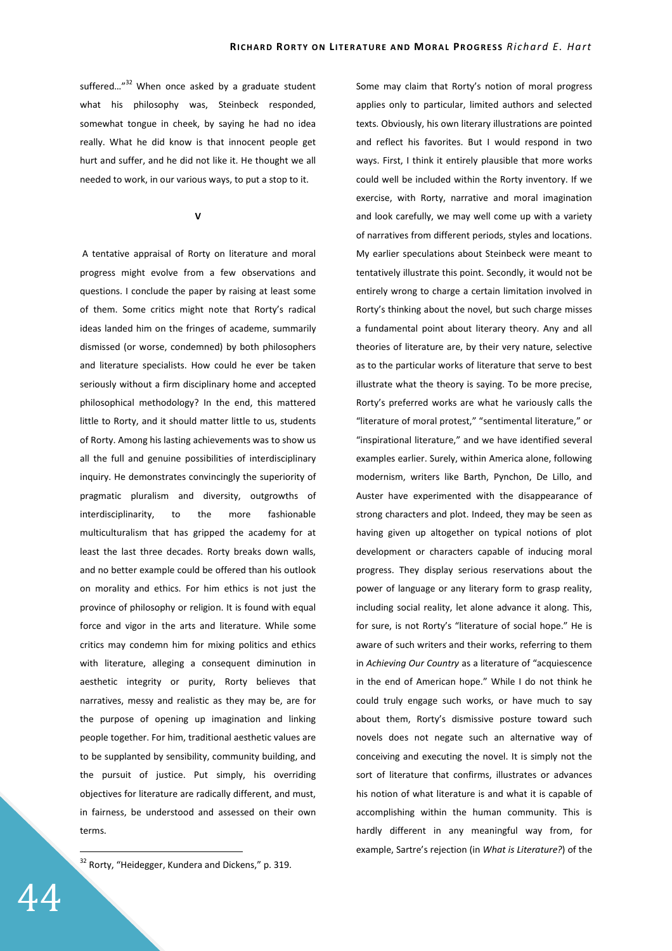suffered..." $32$  When once asked by a graduate student what his philosophy was, Steinbeck responded, somewhat tongue in cheek, by saying he had no idea really. What he did know is that innocent people get hurt and suffer, and he did not like it. He thought we all needed to work, in our various ways, to put a stop to it.

**V** 

 A tentative appraisal of Rorty on literature and moral progress might evolve from a few observations and questions. I conclude the paper by raising at least some of them. Some critics might note that Rorty's radical ideas landed him on the fringes of academe, summarily dismissed (or worse, condemned) by both philosophers and literature specialists. How could he ever be taken seriously without a firm disciplinary home and accepted philosophical methodology? In the end, this mattered little to Rorty, and it should matter little to us, students of Rorty. Among his lasting achievements was to show us all the full and genuine possibilities of interdisciplinary inquiry. He demonstrates convincingly the superiority of pragmatic pluralism and diversity, outgrowths of interdisciplinarity, to the more fashionable multiculturalism that has gripped the academy for at least the last three decades. Rorty breaks down walls, and no better example could be offered than his outlook on morality and ethics. For him ethics is not just the province of philosophy or religion. It is found with equal force and vigor in the arts and literature. While some critics may condemn him for mixing politics and ethics with literature, alleging a consequent diminution in aesthetic integrity or purity, Rorty believes that narratives, messy and realistic as they may be, are for the purpose of opening up imagination and linking people together. For him, traditional aesthetic values are to be supplanted by sensibility, community building, and the pursuit of justice. Put simply, his overriding objectives for literature are radically different, and must, in fairness, be understood and assessed on their own terms.

 $32$  Rorty, "Heidegger, Kundera and Dickens," p. 319.

Some may claim that Rorty's notion of moral progress applies only to particular, limited authors and selected texts. Obviously, his own literary illustrations are pointed and reflect his favorites. But I would respond in two ways. First, I think it entirely plausible that more works could well be included within the Rorty inventory. If we exercise, with Rorty, narrative and moral imagination and look carefully, we may well come up with a variety of narratives from different periods, styles and locations. My earlier speculations about Steinbeck were meant to tentatively illustrate this point. Secondly, it would not be entirely wrong to charge a certain limitation involved in Rorty's thinking about the novel, but such charge misses a fundamental point about literary theory. Any and all theories of literature are, by their very nature, selective as to the particular works of literature that serve to best illustrate what the theory is saying. To be more precise, Rorty's preferred works are what he variously calls the "literature of moral protest," "sentimental literature," or "inspirational literature," and we have identified several examples earlier. Surely, within America alone, following modernism, writers like Barth, Pynchon, De Lillo, and Auster have experimented with the disappearance of strong characters and plot. Indeed, they may be seen as having given up altogether on typical notions of plot development or characters capable of inducing moral progress. They display serious reservations about the power of language or any literary form to grasp reality, including social reality, let alone advance it along. This, for sure, is not Rorty's "literature of social hope." He is aware of such writers and their works, referring to them in *Achieving Our Country* as a literature of "acquiescence in the end of American hope." While I do not think he could truly engage such works, or have much to say about them, Rorty's dismissive posture toward such novels does not negate such an alternative way of conceiving and executing the novel. It is simply not the sort of literature that confirms, illustrates or advances his notion of what literature is and what it is capable of accomplishing within the human community. This is hardly different in any meaningful way from, for example, Sartre's rejection (in *What is Literature?*) of the